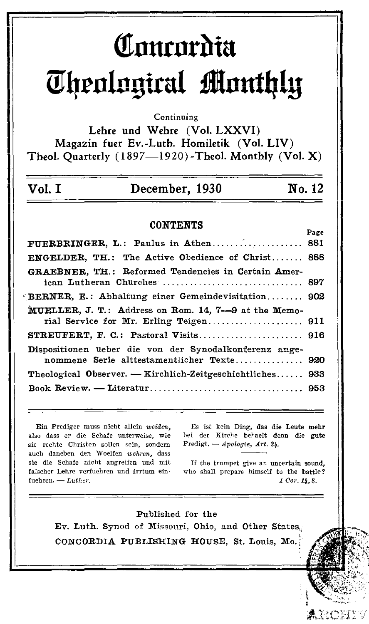# Comordia **Theological Monthly**

#### Continuing

Lehre und Wehre (Vol. LXXVI) Magazin fuer Ev.-Luth. Homiletik (Vol. LIV) Theol. Quarterly (1897-1920)-Theol. Monthly (Vol. X)

| Vol. I | December, 1930 | No. 12 |
|--------|----------------|--------|
|--------|----------------|--------|

#### **CONTENTS**

| FUERBRINGER, L.: Paulus in Athen 881                                               |     |
|------------------------------------------------------------------------------------|-----|
| <b>ENGELDER, TH.: The Active Obedience of Christ 888</b>                           |     |
| GRAEBNER, TH.: Reformed Tendencies in Certain Amer-<br>ican Lutheran Churches  897 |     |
| BERNER, E.: Abhaltung einer Gemeindevisitation 902                                 |     |
| MUELLER, J. T.: Address on Rom. 14, 7--9 at the Memo-                              |     |
|                                                                                    |     |
|                                                                                    |     |
| Dispositionen ueber die von der Synodalkonferenz ange-                             |     |
| nommene Serie alttestamentlicher Texte 920                                         |     |
| Theological Observer. — Kirchlich-Zeitgeschichtliches                              | 933 |
|                                                                                    |     |

Ein Prediger muss nicht allein weiden. also dass er die Schafe unterweise, wie sie rechte Christen sollen sein, sondern auch daneben den Woelfen wehren, dass sie die Schafe nicht angreifen und mit falscher Lehre verfuehren und Irrtum einfuehren.  $-$  Luther.

Es ist kein Ding, das die Leute mehr bei der Kirche behaelt denn die gute Predigt.  $\longrightarrow Apologie, Art. 24.$ 

If the trumpet give an uncertain sound, who shall prepare himself to the battle?  $1$  Cor.  $14, 8$ .



ARCHIV

Page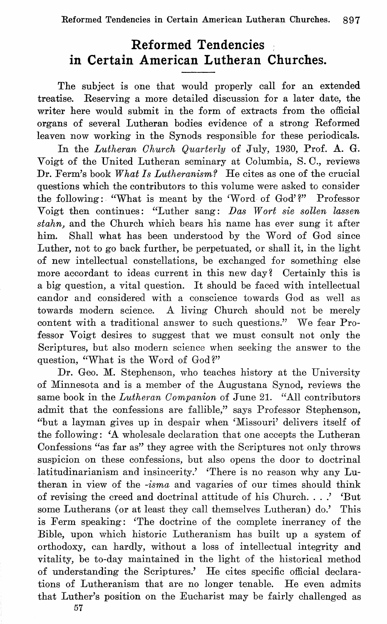## **Reformed Tendencies in Certain American Lutheran Churches.**

The subject is one that would properly call for an extended treatise. Reserving a more detailed discussion for a later date, the writer here would submit in the form of extracts from the official organs of several Lutheran bodies evidence of a strong Reformed leaven now working in the Synods responsible for these periodicals.

In the *Lutheran Ohurch Quarterly* of July, 1930, Prof. A. G. Voigt of the United Lutheran seminary at Oolumbia, S.O., reviews Dr. Ferm's book *What Is Lutheranism?* He cites as one of the crucial questions which the contributors to this volume were asked to consider the following: "What is meant by the 'Word of God'?" Professor Voigt then continues: "Luther sang: Das Wort sie sollen lassen *stahn,* and the Ohurch which bears his name has ever sung it after him. Shall what has been understood by the Word of God since Luther, not to go back further, be perpetuated, or shall it, in the light of new intellectual constellations, be exchanged for something else more accordant to ideas current in this new day? Certainly this is a big question, a vital question. It should be faced with intellectual candor and considered with a conscience towards God as well as towards modern science. A living Ohurch should not be merely content with a traditional answer to such questions." We fear Professor Voigt desires to suggest that we must consult not only the Scriptures, but also modern science when seeking the answer to the question, "What is the Word of God?"

Dr. Geo. M. Stephenson, who teaches history at the University of Minnesota and is a member of the Augustana Synod, reviews the same book in the *Lutheran Oompanion* of June 21. "All contributors admit that the confessions are fallible," says Professor Stephenson, "but a layman gives up in despair when 'Missouri' delivers itself of the following: 'A wholesale declaration that one accepts the Lutheran Oonfessions "as far as" they agree with the Scriptures not only throws suspicion on these confessions, but also opens the door to doctrinal latitudinarianism and insincerity.' 'There is no reason why any Lutheran in view of the *-isma* and vagaries of our times should think of revising the creed and doctrinal attitude of his Ohurch ... .' 'But some Lutherans (or at least they call themselves Lutheran) do.' This is Ferm speaking: 'The doctrine of the complete inerrancy of the Bible, upon which historic Lutheranism has built up a system of orthodoxy, can hardly, without a loss of intellectual integrity and vitality, be to-day maintained in the light of the historical method of understanding the Scriptures.' He cites specific official declarations of Lutheranism that are no longer tenable. He even admits that Luther's position on the Eucharist may be fairly challenged as

57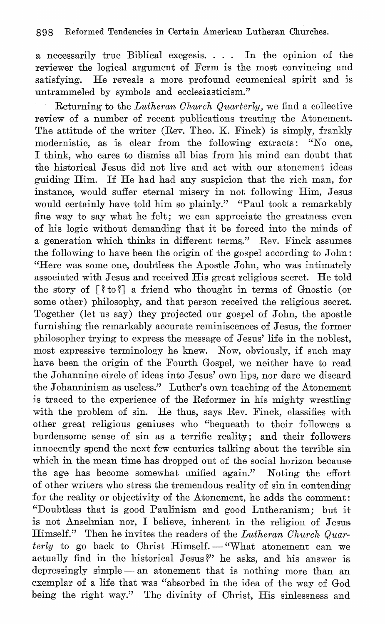a necessarily true Biblical exegesis. . .. In the opinion of the reviewer the logical argument of Ferm is the most convincing and satisfying. He reveals a more profound ecumenical spirit and is untrammeled by symbols and ecclesiasticism."

Returning to the *Lutheran Church Quarterly*, we find a collective review of a number of recent publications treating the Atonement. The attitude of the writer (Rev. Theo. K. Finck) is simply, frankly modernistic, as is clear from the following extracts: "No one, I think, who cares to dismiss all bias from his mind can doubt that the historical Jesus did not live and act with our atonement ideas guiding Him. If He had had any suspicion that the rich man, for instance, would suffer eternal misery in not following Him, Jesus would certainly have told him so plainly." "Paul took a remarkably fine way to say what he felt; we can appreciate the greatness even of his logic without demanding that it be forced into the minds of a generation which thinks in different terms." Rev. Finck assumes the following to have been the origin of the gospel according to John: "Here was some one, doubtless the Apostle John, who was intimately associated with Jesus and received His great religious secret. He told the story of  $\lceil$  ? to ?] a friend who thought in terms of Gnostic (or some other) philosophy, and that person received the religious secret. Together (let us say) they projected our gospel of John, the apostle furnishing the remarkably accurate reminiscences of Jesus, the former philosopher trying to express the message of Jesus' life in the noblest, most expressive terminology he knew. Now, obviously, if such may have been the origin of the Fourth Gospel, we neither have to read the Johannine circle of ideas into Jesus' own lips, nor dare we discard the Johanninism as useless." Luther's own teaching of the Atonement is traced to the experience of the Reformer in his mighty wrestling with the problem of sin. He thus, says Rev. Finck, classifies with other great religious geniuses who "bequeath to their followcrs a burdensome sense of sin as a terrific reality; and their followers innocently spend the next few centuries talking about the terrible sin which in the mean time has dropped out of the social horizon because the age has become somewhat unified again." Noting the effort of other writers who stress the tremendous reality of sin in contending for the reality or objectivity of the Atonement, he adds the comment: "Doubtless that is good Paulinism and good Lutheranism; but it is not Anselmian nor, I believe, inherent in the religion of Jesus Himself." Then he invites the readers of the *Lutheran Ohurch Quarterly* to go back to Christ Himself. - "What atonement can we actually find in the historical Jesus?" he asks, and his answer is depressingly simple - an atonement that is nothing more than an exemplar of a life that was "absorbed in the idea of the way of God being the right way." The divinity of Christ, His sinlessness and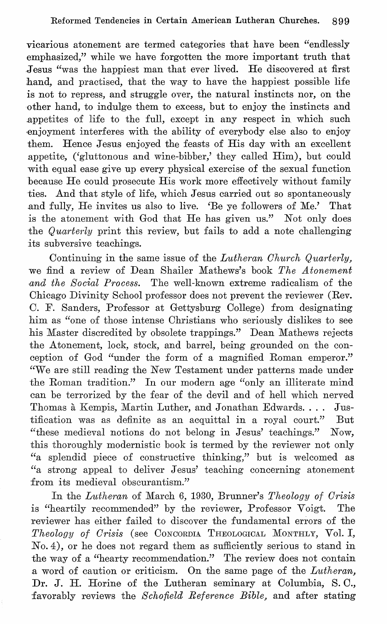vicarious atonement are termed categories that have been "endlessly emphasized," while we have forgotten the more important truth that Jesus "was the happiest man that ever lived. He discovered at first hand, and practised, that the way to have the happiest possible life is not to repress, and struggle over, the natural instincts nor, on the other hand, to indulge them to excess, but to enjoy the instincts and .appetites of life to the full, except in any respect in which such ,enjoyment interferes with the ability of everybody else also to enjoy them. Hence Jesus enjoyed the feasts of His day with an excellent appetite, ('gluttonous and wine-bibber,' they called Him), but could with equal ease give up every physical exercise of the sexual function because He could prosecute His work more effectively without family -ties. And that style of life, which Jesus carried out so spontaneously and fully, He invites us also to live. 'Be ye followers of Me.' That is the atonement with God that He has given us." Not only does -the *Quarterly* print this review, but fails to add a note challenging its subversive teachings.

Continuing in the same issue of the *Lutheran Church Quarterly*, we find a review of Dean Shailer Mathews's book *The Atonement*  and the Social Process. The well-known extreme radicalism of the Ohicago Divinity School professor does not prevent the reviewer (Rev. O. F. Sanders, Professor at Gettysburg Oollege) from designating him as "one of those intense Ohristians who seriously dislikes to see his Master discredited by obsolete trappings." Dean Mathews rejects the Atonement, lock, stock, and barrel, being grounded on the conception of God "under the form of a magnified Roman emperor." "We are still reading the New Testament under patterns made under -the Roman tradition." In our modern age "only an illiterate mind can be terrorized by the fear of the devil and of hell which nerved Thomas à Kempis, Martin Luther, and Jonathan Edwards. . . . Jus--tification was as definite as an acquittal in a royal court." But "these medieval notions do not belong in Jesus' teachings." Now, this thoroughly modernistic book is termed by the reviewer not only "a splendid piece of constructive thinking," but is welcomed as "a strong appeal to deliver Jesus' teaching concerning atonement from its medieval obscurantism."

In the *Lutheran* of March 6, 1930, Brunner's *Theology of Crisis*  is ''heartily recommended" by the reviewer, Professor Voigt. The reviewer has either failed to discover the fundamental errors of the *Theology of Crisis* (see OONOORDIA THEOLOGICAL MONTHLY, Vol. I, No.4), or he does not regard them as sufficiently serious to stand in the way of a "hearty recommendation." The review does not contain .a word of caution or criticism. On the same page of the *Lutheran,*  Dr. J. H. Horine of the Lutheran seminary at Oolumbia, S.O., favorably reviews the *Schofield Reference Bible,* and after stating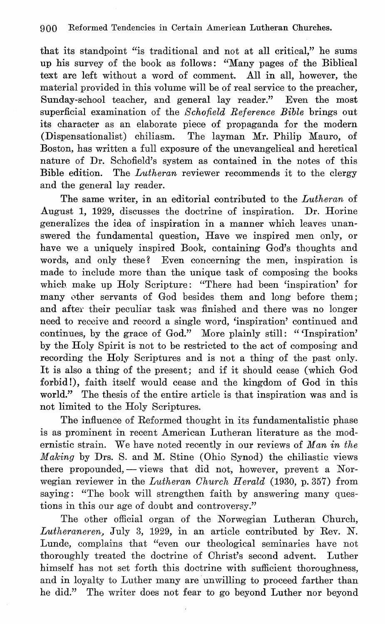that its standpoint "is traditional and not at all critical," he sums up his survey of the book as follows: "Many pages of the Biblical text are left without a word of comment. All in all, however, the material provided in this volume will be of real service to the preacher, Sunday-school teacher, and general lay reader." Even the most superficial examination of the *Schofield Reference Bible* brings out its character as an elaborate piece of propaganda for the modern (Dispensationalist) chiliasm. The layman Mr. Philip Mauro, of Boston, has written a full exposure of the unevangelical and heretical nature of Dr. Schofield's system as contained in the notes of this Bible edition. The *Lutheran* reviewer recommends it to the clergy and the general lay reader.

The same writer, in an editorial contributed to the *Lutheran* of August 1, 1929, discusses the doctrine of inspiration. Dr. Horine generalizes the idea of inspiration in a manner which leaves unanswered the fundamental question, Have we inspired men only, or have we a uniquely inspired Book, containing God's thoughts and words, and only these? Even concerning the men, inspiration is made to include more than the unique task of composing the books which make up Holy Scripture: "There had been 'inspiration' for many other servants of God besides them and long before them; and after their peculiar task was finished and there was no longer need to receive and record a single word, 'inspiration' continued and continues, by the grace of God." More plainly still: "'Inspiration' by the Holy Spirit is not to be restricted to the act of composing and recording the Holy Scriptures and is not a thing of the past only. It is also a thing of the present; and if it should cease (which God forbid!), faith itself would cease and the kingdom of God in this world." The thesis of the entire article is that inspiration was and is not limited to the Holy Scriptures.

The influence of Reformed thought in its fundamentalistic phase is as prominent in recent American Lutheran literature as the modernistic strain. We have noted recently in our reviews of *Man in the Making* by Drs. S. and M. Stine (Ohio Synod) the chiliastic views there propounded,  $-\overline{\ }$  views that did not, however, prevent a Norwegian reviewer in the *Lutheran Ohurch Herald* (1930, p. 357) from saying: "The book will strengthen faith by answering many questions in this our age of doubt and controversy."

The other official organ of the Norwegian Lutheran Church, *Lutheraneren,* July 3, 1929, in an article contributed by Rev. N. Lunde, complains that "even our theological seminaries have not thoroughly treated the doctrine of Christ's second advent. Luther himself has not set forth this doctrine with sufficient thoroughness, and in loyalty to Luther many are unwilling to proceed farther than he did." The writer does not fear to go beyond Luther nor beyond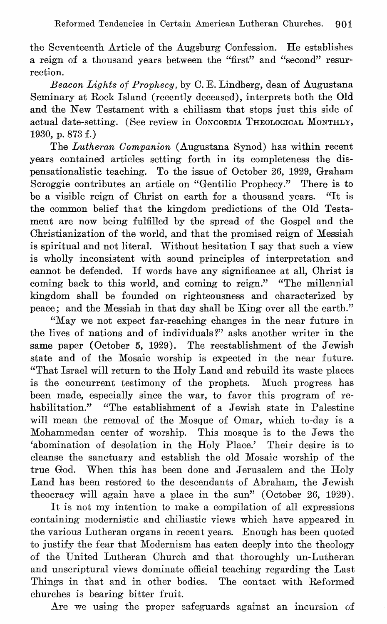the Seventeenth Article of the Augsburg Oonfession. He establishes a reign of a thousand years between the "first" and "second" resurrection.

*Beacon Lights of Prophecy,* by O. E. Lindberg, dean of Augustana Seminary at Rock Island (recently deceased), interprets both the Old and the New Testament with a chiliasm that stops just this side of actual date-setting. (See review in OONCORDIA THEOLOGICAL MONTHLY, 1930, p. 873 f.)

The *Lutheran Oompanion* (Augustana Synod) has within recent years contained articles setting forth in its completeness the dispensationalistic teaching. To the issue of October 26, 1929, Graham Scroggie contributes an article on "Gentilic Prophecy." There is to be a visible reign of Ohrist on earth for a thousand years. "It is the common belief that the kingdom predictions of the Old Testament are now being fulfilled by the spread of the Gospel and the Ohristianization of the world, and that the promised reign of Messiah is spiritual and not literal. Without hesitation I say that such a view is wholly inconsistent with sound principles of interpretation and cannot be defended. If words have any significance at all, Ohrist is coming back to this world, and coming to reign." "The millennial kingdom shall be founded on righteousness and characterized by peace; and the Messiah in that day shall be King over all the earth."

"May we not expect far-reaching changes in the near future in the lives of nations and of individuals?" asks another writer in the same paper (October 5, 1929). The reestablishment of the Jewish state and of the Mosaic worship is expected in the near future. "That Israel will return to the Holy Land and rebuild its waste places is the concurrent testimony of the prophets. Much progress has been made, especially since the war, to favor this program of rehabilitation." "The establishment of a Jewish state in Palestine will mean the removal of the Mosque of Omar, which to-day is a Mohammedan center of worship. This mosque is to the Jews the 'abomination of desolation in the Holy Place.' Their desire is to cleanse the sanctuary and establish the old Mosaic worship of the true God. When this has been done and Jerusalem and the Holy Land has been restored to the descendants of Abraham, the Jewish theocracy will again have a place in the sun" (October 26, 1929).

It is not my intention to make a compilation of all expressions containing modernistic and chiliastic views which have appeared in the various Lutheran organs in recent years. Enough has been quoted to justify the fear that Modernism has eaten deeply into the theology of the United Lutheran Ohurch and that thoroughly un-Lutheran and unscriptural views dominate official teaching regarding the Last Things in that and in other bodies. The contact with Reformed churches is bearing bitter fruit.

**Are we using the proper safeguards against an incursion of**